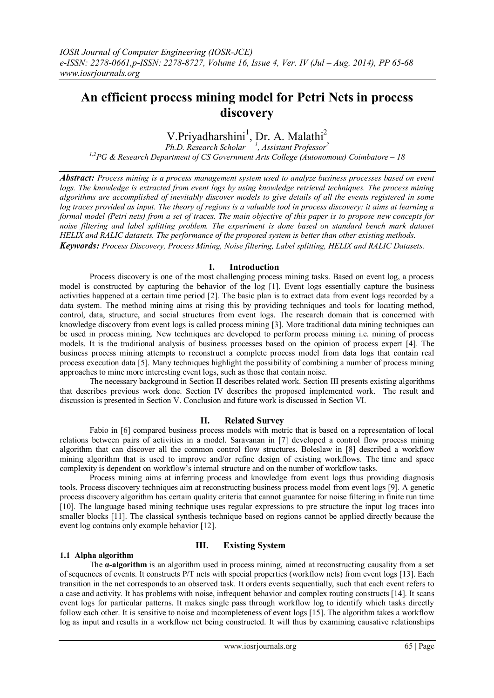# **An efficient process mining model for Petri Nets in process discovery**

# V.Priyadharshini<sup>1</sup>, Dr. A. Malathi<sup>2</sup>

*Ph.D. Research Scholar <sup>1</sup> , Assistant Professor<sup>2</sup> 1,2PG & Research Department of CS Government Arts College (Autonomous) Coimbatore – 18*

*Abstract: Process mining is a process management system used to analyze business processes based on event logs. The knowledge is extracted from event logs by using knowledge retrieval techniques. The process mining algorithms are accomplished of inevitably discover models to give details of all the events registered in some log traces provided as input. The theory of regions is a valuable tool in process discovery: it aims at learning a formal model (Petri nets) from a set of traces. The main objective of this paper is to propose new concepts for noise filtering and label splitting problem. The experiment is done based on standard bench mark dataset HELIX and RALIC datasets. The performance of the proposed system is better than other existing methods. Keywords: Process Discovery, Process Mining, Noise filtering, Label splitting, HELIX and RALIC Datasets.*

## **I. Introduction**

 Process discovery is one of the most challenging process mining tasks. Based on event log, a process model is constructed by capturing the behavior of the log [1]. Event logs essentially capture the business activities happened at a certain time period [2]. The basic plan is to extract data from event logs recorded by a data system. The method mining aims at rising this by providing techniques and tools for locating method, control, data, structure, and social structures from event logs. The research domain that is concerned with knowledge discovery from event logs is called process mining [3]. More traditional data mining techniques can be used in process mining. New techniques are developed to perform process mining i.e. mining of process models. It is the traditional analysis of business processes based on the opinion of process expert [4]. The business process mining attempts to reconstruct a complete process model from data logs that contain real process execution data [5]. Many techniques highlight the possibility of combining a number of process mining approaches to mine more interesting event logs, such as those that contain noise.

 The necessary background in Section II describes related work. Section III presents existing algorithms that describes previous work done. Section IV describes the proposed implemented work. The result and discussion is presented in Section V. Conclusion and future work is discussed in Section VI.

# **II. Related Survey**

 Fabio in [6] compared business process models with metric that is based on a representation of local relations between pairs of activities in a model. Saravanan in [7] developed a control flow process mining algorithm that can discover all the common control flow structures. Boleslaw in [8] described a workflow mining algorithm that is used to improve and/or refine design of existing workflows. The time and space complexity is dependent on workflow's internal structure and on the number of workflow tasks.

 Process mining aims at inferring process and knowledge from event logs thus providing diagnosis tools. Process discovery techniques aim at reconstructing business process model from event logs [9]. A genetic process discovery algorithm has certain quality criteria that cannot guarantee for noise filtering in finite run time [10]. The language based mining technique uses regular expressions to pre structure the input log traces into smaller blocks [11]. The classical synthesis technique based on regions cannot be applied directly because the event log contains only example behavior [12].

# **1.1 Alpha algorithm**

# **III. Existing System**

 The **α-algorithm** is an algorithm used in process mining, aimed at reconstructing causality from a set of sequences of events. It constructs P/T nets with special properties (workflow nets) from event logs [13]. Each transition in the net corresponds to an observed task. It orders events sequentially, such that each event refers to a case and activity. It has problems with noise, infrequent behavior and complex routing constructs [14]. It scans event logs for particular patterns. It makes single pass through workflow log to identify which tasks directly follow each other. It is sensitive to noise and incompleteness of event logs [15]. The algorithm takes a workflow log as input and results in a workflow net being constructed. It will thus by examining causative relationships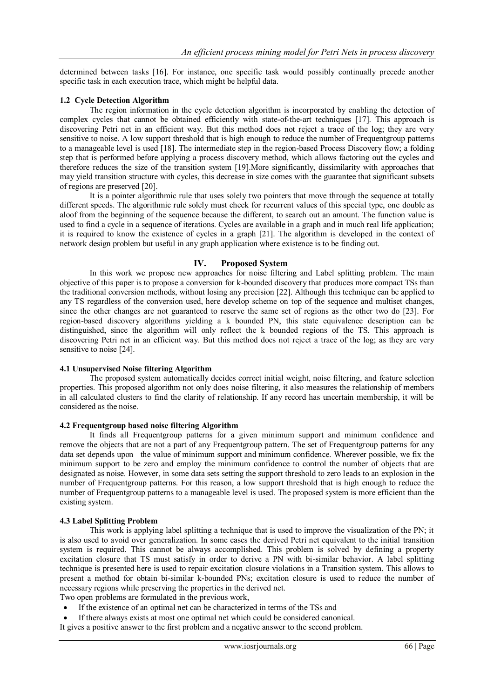determined between tasks [16]. For instance, one specific task would possibly continually precede another specific task in each execution trace, which might be helpful data.

### **1.2 Cycle Detection Algorithm**

 The region information in the cycle detection algorithm is incorporated by enabling the detection of complex cycles that cannot be obtained efficiently with state-of-the-art techniques [17]. This approach is discovering Petri net in an efficient way. But this method does not reject a trace of the log; they are very sensitive to noise. A low support threshold that is high enough to reduce the number of Frequentgroup patterns to a manageable level is used [18]. The intermediate step in the region-based Process Discovery flow; a folding step that is performed before applying a process discovery method, which allows factoring out the cycles and therefore reduces the size of the transition system [19].More significantly, dissimilarity with approaches that may yield transition structure with cycles, this decrease in size comes with the guarantee that significant subsets of regions are preserved [20].

 It is a pointer algorithmic rule that uses solely two pointers that move through the sequence at totally different speeds. The algorithmic rule solely must check for recurrent values of this special type, one double as aloof from the beginning of the sequence because the different, to search out an amount. The function value is used to find a cycle in a sequence of iterations. Cycles are available in a graph and in much real life application; it is required to know the existence of cycles in a graph [21]. The algorithm is developed in the context of network design problem but useful in any graph application where existence is to be finding out.

## **IV. Proposed System**

 In this work we propose new approaches for noise filtering and Label splitting problem. The main objective of this paper is to propose a conversion for k-bounded discovery that produces more compact TSs than the traditional conversion methods, without losing any precision [22]. Although this technique can be applied to any TS regardless of the conversion used, here develop scheme on top of the sequence and multiset changes, since the other changes are not guaranteed to reserve the same set of regions as the other two do [23]. For region-based discovery algorithms yielding a k bounded PN, this state equivalence description can be distinguished, since the algorithm will only reflect the k bounded regions of the TS. This approach is discovering Petri net in an efficient way. But this method does not reject a trace of the log; as they are very sensitive to noise [24].

#### **4.1 Unsupervised Noise filtering Algorithm**

The proposed system automatically decides correct initial weight, noise filtering, and feature selection properties. This proposed algorithm not only does noise filtering, it also measures the relationship of members in all calculated clusters to find the clarity of relationship. If any record has uncertain membership, it will be considered as the noise.

#### **4.2 Frequentgroup based noise filtering Algorithm**

 It finds all Frequentgroup patterns for a given minimum support and minimum confidence and remove the objects that are not a part of any Frequentgroup pattern. The set of Frequentgroup patterns for any data set depends upon the value of minimum support and minimum confidence. Wherever possible, we fix the minimum support to be zero and employ the minimum confidence to control the number of objects that are designated as noise. However, in some data sets setting the support threshold to zero leads to an explosion in the number of Frequentgroup patterns. For this reason, a low support threshold that is high enough to reduce the number of Frequentgroup patterns to a manageable level is used. The proposed system is more efficient than the existing system.

## **4.3 Label Splitting Problem**

 This work is applying label splitting a technique that is used to improve the visualization of the PN; it is also used to avoid over generalization. In some cases the derived Petri net equivalent to the initial transition system is required. This cannot be always accomplished. This problem is solved by defining a property excitation closure that TS must satisfy in order to derive a PN with bi-similar behavior. A label splitting technique is presented here is used to repair excitation closure violations in a Transition system. This allows to present a method for obtain bi-similar k-bounded PNs; excitation closure is used to reduce the number of necessary regions while preserving the properties in the derived net.

Two open problems are formulated in the previous work,

- If the existence of an optimal net can be characterized in terms of the TSs and
- If there always exists at most one optimal net which could be considered canonical.

It gives a positive answer to the first problem and a negative answer to the second problem.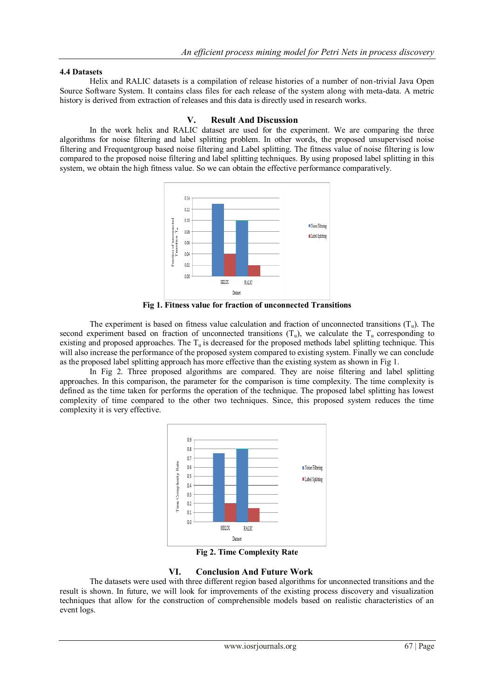## **4.4 Datasets**

 Helix and RALIC datasets is a compilation of release histories of a number of non-trivial Java Open Source Software System. It contains class files for each release of the system along with meta-data. A metric history is derived from extraction of releases and this data is directly used in research works.

## **V. Result And Discussion**

 In the work helix and RALIC dataset are used for the experiment. We are comparing the three algorithms for noise filtering and label splitting problem. In other words, the proposed unsupervised noise filtering and Frequentgroup based noise filtering and Label splitting. The fitness value of noise filtering is low compared to the proposed noise filtering and label splitting techniques. By using proposed label splitting in this system, we obtain the high fitness value. So we can obtain the effective performance comparatively.



**Fig 1. Fitness value for fraction of unconnected Transitions**

The experiment is based on fitness value calculation and fraction of unconnected transitions  $(T_u)$ . The second experiment based on fraction of unconnected transitions  $(T_u)$ , we calculate the  $T_u$  corresponding to existing and proposed approaches. The  $T_u$  is decreased for the proposed methods label splitting technique. This will also increase the performance of the proposed system compared to existing system. Finally we can conclude as the proposed label splitting approach has more effective than the existing system as shown in Fig 1.

 In Fig 2. Three proposed algorithms are compared. They are noise filtering and label splitting approaches. In this comparison, the parameter for the comparison is time complexity. The time complexity is defined as the time taken for performs the operation of the technique. The proposed label splitting has lowest complexity of time compared to the other two techniques. Since, this proposed system reduces the time complexity it is very effective.



**Fig 2. Time Complexity Rate**

# **VI. Conclusion And Future Work**

 The datasets were used with three different region based algorithms for unconnected transitions and the result is shown. In future, we will look for improvements of the existing process discovery and visualization techniques that allow for the construction of comprehensible models based on realistic characteristics of an event logs.